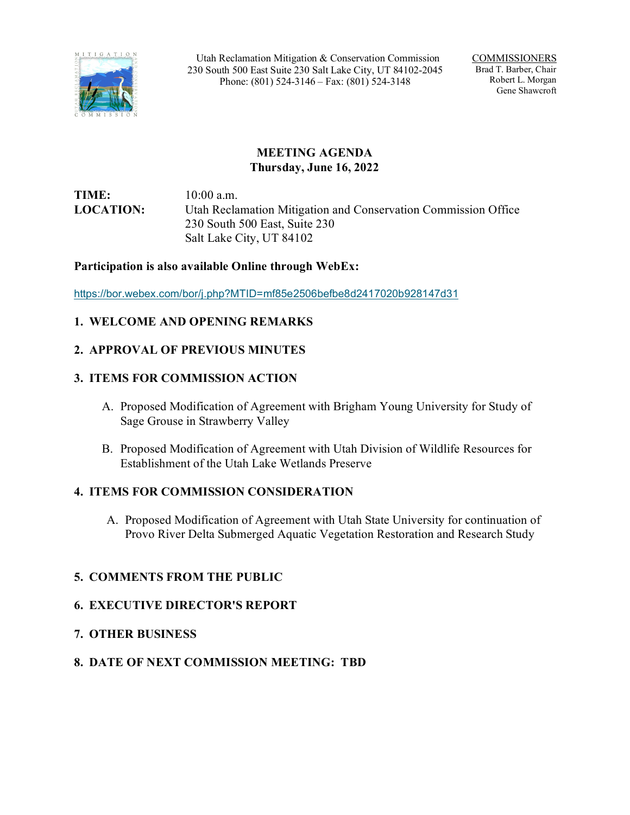

Utah Reclamation Mitigation & Conservation Commission 230 South 500 East Suite 230 Salt Lake City, UT 84102-2045 Phone: (801) 524-3146 – Fax: (801) 524-3148

COMMISSIONERS Brad T. Barber, Chair Robert L. Morgan Gene Shawcroft

# **MEETING AGENDA Thursday, June 16, 2022**

**TIME:** 10:00 a.m. **LOCATION:** Utah Reclamation Mitigation and Conservation Commission Office 230 South 500 East, Suite 230 Salt Lake City, UT 84102

## **Participation is also available Online through WebEx:**

<https://bor.webex.com/bor/j.php?MTID=mf85e2506befbe8d2417020b928147d31>

## **1. WELCOME AND OPENING REMARKS**

## **2. APPROVAL OF PREVIOUS MINUTES**

## **3. ITEMS FOR COMMISSION ACTION**

- A. Proposed Modification of Agreement with Brigham Young University for Study of Sage Grouse in Strawberry Valley
- B. Proposed Modification of Agreement with Utah Division of Wildlife Resources for Establishment of the Utah Lake Wetlands Preserve

### **4. ITEMS FOR COMMISSION CONSIDERATION**

A. Proposed Modification of Agreement with Utah State University for continuation of Provo River Delta Submerged Aquatic Vegetation Restoration and Research Study

## **5. COMMENTS FROM THE PUBLIC**

### **6. EXECUTIVE DIRECTOR'S REPORT**

## **7. OTHER BUSINESS**

## **8. DATE OF NEXT COMMISSION MEETING: TBD**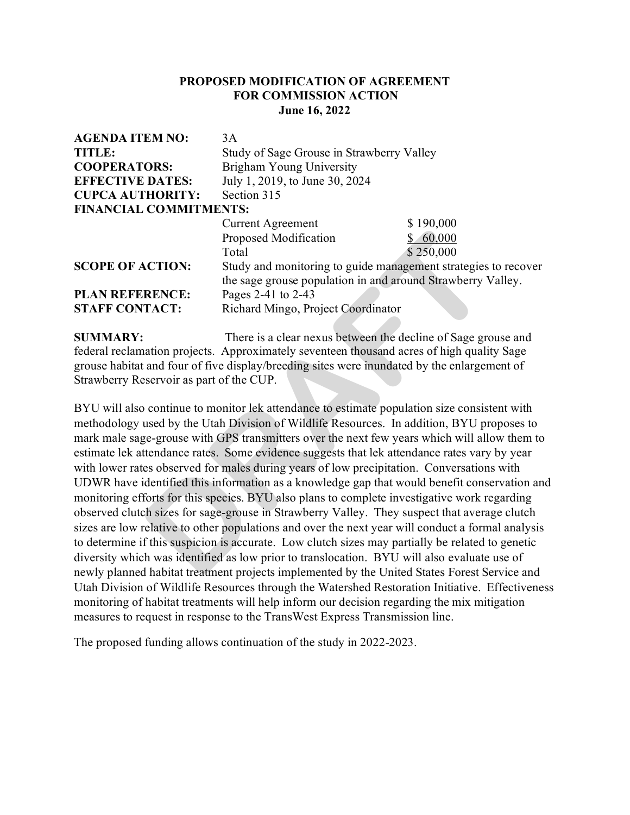### **PROPOSED MODIFICATION OF AGREEMENT FOR COMMISSION ACTION June 16, 2022**

| <b>AGENDA ITEM NO:</b>        | 3A                                                             |           |
|-------------------------------|----------------------------------------------------------------|-----------|
| <b>TITLE:</b>                 | Study of Sage Grouse in Strawberry Valley                      |           |
| <b>COOPERATORS:</b>           | Brigham Young University                                       |           |
| <b>EFFECTIVE DATES:</b>       | July 1, 2019, to June 30, 2024                                 |           |
| <b>CUPCA AUTHORITY:</b>       | Section 315                                                    |           |
| <b>FINANCIAL COMMITMENTS:</b> |                                                                |           |
|                               | <b>Current Agreement</b>                                       | \$190,000 |
|                               | Proposed Modification                                          | 60,000    |
|                               | Total                                                          | \$250,000 |
| <b>SCOPE OF ACTION:</b>       | Study and monitoring to guide management strategies to recover |           |
|                               | the sage grouse population in and around Strawberry Valley.    |           |
| <b>PLAN REFERENCE:</b>        | Pages 2-41 to 2-43                                             |           |
| <b>STAFF CONTACT:</b>         | Richard Mingo, Project Coordinator                             |           |
|                               |                                                                |           |

**SUMMARY:** There is a clear nexus between the decline of Sage grouse and federal reclamation projects. Approximately seventeen thousand acres of high quality Sage grouse habitat and four of five display/breeding sites were inundated by the enlargement of Strawberry Reservoir as part of the CUP.

BYU will also continue to monitor lek attendance to estimate population size consistent with methodology used by the Utah Division of Wildlife Resources. In addition, BYU proposes to mark male sage-grouse with GPS transmitters over the next few years which will allow them to estimate lek attendance rates. Some evidence suggests that lek attendance rates vary by year with lower rates observed for males during years of low precipitation. Conversations with UDWR have identified this information as a knowledge gap that would benefit conservation and monitoring efforts for this species. BYU also plans to complete investigative work regarding observed clutch sizes for sage-grouse in Strawberry Valley. They suspect that average clutch sizes are low relative to other populations and over the next year will conduct a formal analysis to determine if this suspicion is accurate. Low clutch sizes may partially be related to genetic diversity which was identified as low prior to translocation. BYU will also evaluate use of newly planned habitat treatment projects implemented by the United States Forest Service and Utah Division of Wildlife Resources through the Watershed Restoration Initiative. Effectiveness monitoring of habitat treatments will help inform our decision regarding the mix mitigation measures to request in response to the TransWest Express Transmission line. Proposed Modification<br>
S 250,000<br>
Total<br>
S 250,000<br>
S 250,000<br>
S 250,000<br>
S 200,000<br>
the sage grouse population in and around Strawberry V<br>
Pages 2-41 to 2-43<br>
Richard Mingo, Project Coordinator<br>
TACT:<br>
There is a clear ne

The proposed funding allows continuation of the study in 2022-2023.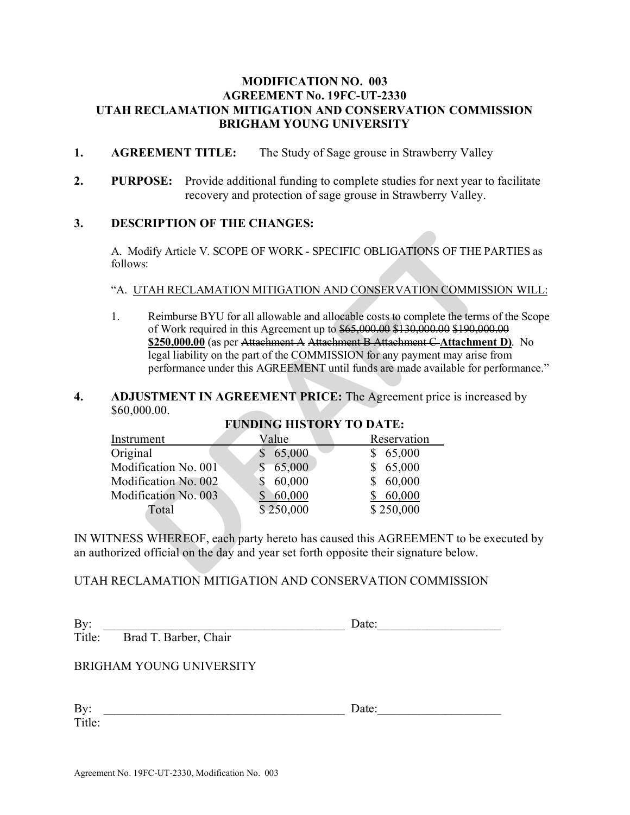## **MODIFICATION NO. 003 AGREEMENT No. 19FC-UT-2330 UTAH RECLAMATION MITIGATION AND CONSERVATION COMMISSION BRIGHAM YOUNG UNIVERSITY**

- **1. AGREEMENT TITLE:** The Study of Sage grouse in Strawberry Valley
- **2. PURPOSE:** Provide additional funding to complete studies for next year to facilitate recovery and protection of sage grouse in Strawberry Valley.

#### **3. DESCRIPTION OF THE CHANGES:**

A. Modify Article V. SCOPE OF WORK - SPECIFIC OBLIGATIONS OF THE PARTIES as follows:

#### "A.UTAH RECLAMATION MITIGATION AND CONSERVATION COMMISSION WILL:

1. Reimburse BYU for all allowable and allocable costs to complete the terms of the Scope of Work required in this Agreement up to \$65,000.00 \$130,000.00 \$190,000.00 **\$250,000.00** (as per Attachment A Attachment B Attachment C **Attachment D)**. No legal liability on the part of the COMMISSION for any payment may arise from performance under this AGREEMENT until funds are made available for performance."

#### **4. ADJUSTMENT IN AGREEMENT PRICE:** The Agreement price is increased by \$60,000.00.

| follows:             |                                 | A. Modify Article V. SCOPE OF WORK - SPECIFIC OBLIGATIONS OF THE P.                                                                                                                                                                                                                                                                                                                                                                                             |  |
|----------------------|---------------------------------|-----------------------------------------------------------------------------------------------------------------------------------------------------------------------------------------------------------------------------------------------------------------------------------------------------------------------------------------------------------------------------------------------------------------------------------------------------------------|--|
|                      |                                 |                                                                                                                                                                                                                                                                                                                                                                                                                                                                 |  |
|                      |                                 | "A. UTAH RECLAMATION MITIGATION AND CONSERVATION COMMISS                                                                                                                                                                                                                                                                                                                                                                                                        |  |
| 1.                   |                                 | Reimburse BYU for all allowable and allocable costs to complete the terms<br>of Work required in this Agreement up to \$65,000.00 \$130,000.00 \$190,000<br>\$250,000.00 (as per Attachment A Attachment B Attachment C Attachmen<br>legal liability on the part of the COMMISSION for any payment may arise 1<br>performance under this AGREEMENT until funds are made available for po<br><b>ADJUSTMENT IN AGREEMENT PRICE:</b> The Agreement price is increa |  |
| \$60,000.00.         |                                 |                                                                                                                                                                                                                                                                                                                                                                                                                                                                 |  |
|                      | <b>FUNDING HISTORY TO DATE:</b> |                                                                                                                                                                                                                                                                                                                                                                                                                                                                 |  |
|                      |                                 |                                                                                                                                                                                                                                                                                                                                                                                                                                                                 |  |
| Instrument           | Value                           | Reservation                                                                                                                                                                                                                                                                                                                                                                                                                                                     |  |
| Original             | \$<br>65,000                    | \$65,000                                                                                                                                                                                                                                                                                                                                                                                                                                                        |  |
| Modification No. 001 | \$65,000                        | \$65,000                                                                                                                                                                                                                                                                                                                                                                                                                                                        |  |
| Modification No. 002 | \$60,000                        | \$60,000                                                                                                                                                                                                                                                                                                                                                                                                                                                        |  |
| Modification No. 003 | \$60,000                        | \$60,000                                                                                                                                                                                                                                                                                                                                                                                                                                                        |  |
| Total                | \$250,000                       | \$250,000                                                                                                                                                                                                                                                                                                                                                                                                                                                       |  |
|                      |                                 | TNESS WHEREOF, each party hereto has caused this AGREEMENT to be ex                                                                                                                                                                                                                                                                                                                                                                                             |  |

# **FUNDING HISTORY TO DATE:**

IN WITNESS WHEREOF, each party hereto has caused this AGREEMENT to be executed by an authorized official on the day and year set forth opposite their signature below.

#### UTAH RECLAMATION MITIGATION AND CONSERVATION COMMISSION

| By:           |                                 | Date: |  |
|---------------|---------------------------------|-------|--|
|               | Title: Brad T. Barber, Chair    |       |  |
|               | <b>BRIGHAM YOUNG UNIVERSITY</b> |       |  |
| By:<br>Title: |                                 | Date: |  |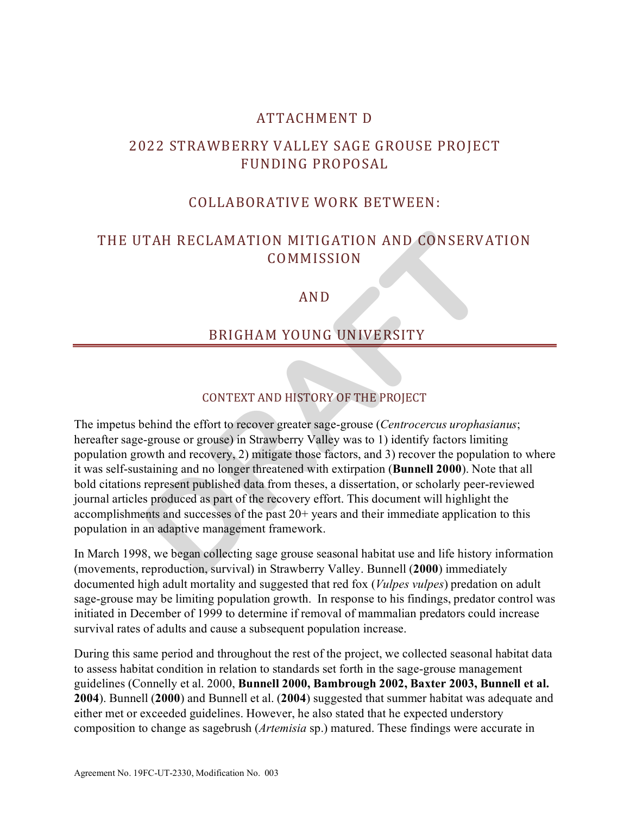# ATTACHMENT D

# 2022 STRAWBERRY VALLEY SAGE GROUSE PROJECT FUNDING PROPOSAL

# COLLABORATIVE WORK BETWEEN:

# THE UTAH RECLAMATION MITIGATION AND CONSERVATION COMMISSION

# AND

# BRIGHAM YOUNG UNIVERSITY

# CONTEXT AND HISTORY OF THE PROJECT

The impetus behind the effort to recover greater sage-grouse (*Centrocercus urophasianus*; hereafter sage-grouse or grouse) in Strawberry Valley was to 1) identify factors limiting population growth and recovery, 2) mitigate those factors, and 3) recover the population to where it was self-sustaining and no longer threatened with extirpation (**Bunnell 2000**). Note that all bold citations represent published data from theses, a dissertation, or scholarly peer-reviewed journal articles produced as part of the recovery effort. This document will highlight the accomplishments and successes of the past 20+ years and their immediate application to this population in an adaptive management framework. TAH RECLAMATION MITIGATION AND CONSERVA<br>
COMMISSION<br>
AND<br>
BRIGHAM YOUNG UNIVERSITY<br>
BRIGHAM YOUNG UNIVERSITY<br>
DRIGHAM YOUNG UNIVERSITY<br>
DRIGHAM PROPERT AND HISTORY OF THE PROJECT<br>
Debind the effort to recover greater sage-

In March 1998, we began collecting sage grouse seasonal habitat use and life history information (movements, reproduction, survival) in Strawberry Valley. Bunnell (**2000**) immediately documented high adult mortality and suggested that red fox (*Vulpes vulpes*) predation on adult sage-grouse may be limiting population growth. In response to his findings, predator control was initiated in December of 1999 to determine if removal of mammalian predators could increase survival rates of adults and cause a subsequent population increase.

During this same period and throughout the rest of the project, we collected seasonal habitat data to assess habitat condition in relation to standards set forth in the sage-grouse management guidelines (Connelly et al. 2000, **Bunnell 2000, Bambrough 2002, Baxter 2003, Bunnell et al. 2004**). Bunnell (**2000**) and Bunnell et al. (**2004**) suggested that summer habitat was adequate and either met or exceeded guidelines. However, he also stated that he expected understory composition to change as sagebrush (*Artemisia* sp.) matured. These findings were accurate in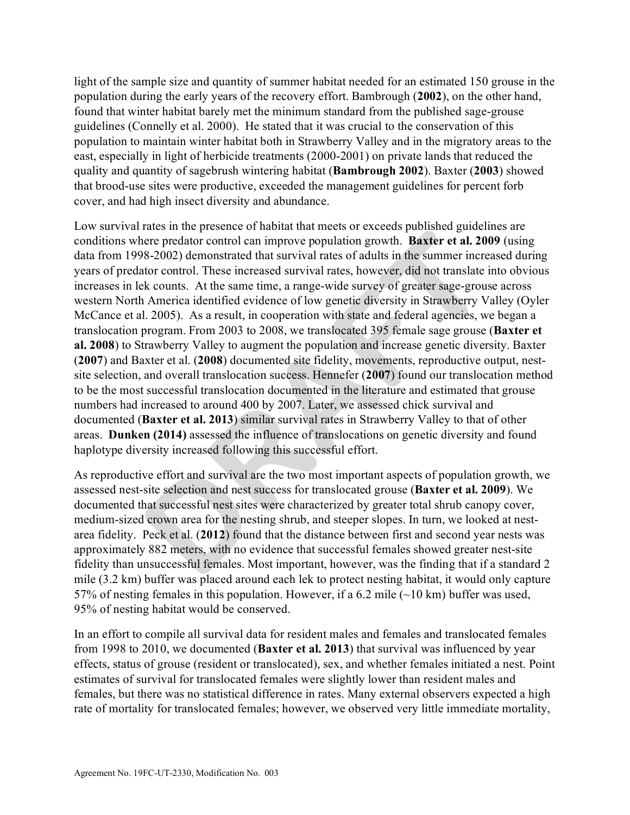light of the sample size and quantity of summer habitat needed for an estimated 150 grouse in the population during the early years of the recovery effort. Bambrough (**2002**), on the other hand, found that winter habitat barely met the minimum standard from the published sage-grouse guidelines (Connelly et al. 2000). He stated that it was crucial to the conservation of this population to maintain winter habitat both in Strawberry Valley and in the migratory areas to the east, especially in light of herbicide treatments (2000-2001) on private lands that reduced the quality and quantity of sagebrush wintering habitat (**Bambrough 2002**). Baxter (**2003**) showed that brood-use sites were productive, exceeded the management guidelines for percent forb cover, and had high insect diversity and abundance.

Low survival rates in the presence of habitat that meets or exceeds published guidelines are conditions where predator control can improve population growth. **Baxter et al. 2009** (using data from 1998-2002) demonstrated that survival rates of adults in the summer increased during years of predator control. These increased survival rates, however, did not translate into obvious increases in lek counts. At the same time, a range-wide survey of greater sage-grouse across western North America identified evidence of low genetic diversity in Strawberry Valley (Oyler McCance et al. 2005). As a result, in cooperation with state and federal agencies, we began a translocation program. From 2003 to 2008, we translocated 395 female sage grouse (**Baxter et al. 2008**) to Strawberry Valley to augment the population and increase genetic diversity. Baxter (**2007**) and Baxter et al. (**2008**) documented site fidelity, movements, reproductive output, nestsite selection, and overall translocation success. Hennefer (**2007**) found our translocation method to be the most successful translocation documented in the literature and estimated that grouse numbers had increased to around 400 by 2007. Later, we assessed chick survival and documented (**Baxter et al. 2013**) similar survival rates in Strawberry Valley to that of other areas. **Dunken (2014)** assessed the influence of translocations on genetic diversity and found haplotype diversity increased following this successful effort. Fraction and processor of national data interes of vectors approach and the same prediator control can improve population growth. **Baxter et al. 20**<br>
Be-2002) demonstrated that survival rates of adults in the summer increa

As reproductive effort and survival are the two most important aspects of population growth, we assessed nest-site selection and nest success for translocated grouse (**Baxter et al. 2009**). We documented that successful nest sites were characterized by greater total shrub canopy cover, medium-sized crown area for the nesting shrub, and steeper slopes. In turn, we looked at nestarea fidelity. Peck et al. (**2012**) found that the distance between first and second year nests was approximately 882 meters, with no evidence that successful females showed greater nest-site fidelity than unsuccessful females. Most important, however, was the finding that if a standard 2 mile (3.2 km) buffer was placed around each lek to protect nesting habitat, it would only capture 57% of nesting females in this population. However, if a 6.2 mile (~10 km) buffer was used, 95% of nesting habitat would be conserved.

In an effort to compile all survival data for resident males and females and translocated females from 1998 to 2010, we documented (**Baxter et al. 2013**) that survival was influenced by year effects, status of grouse (resident or translocated), sex, and whether females initiated a nest. Point estimates of survival for translocated females were slightly lower than resident males and females, but there was no statistical difference in rates. Many external observers expected a high rate of mortality for translocated females; however, we observed very little immediate mortality,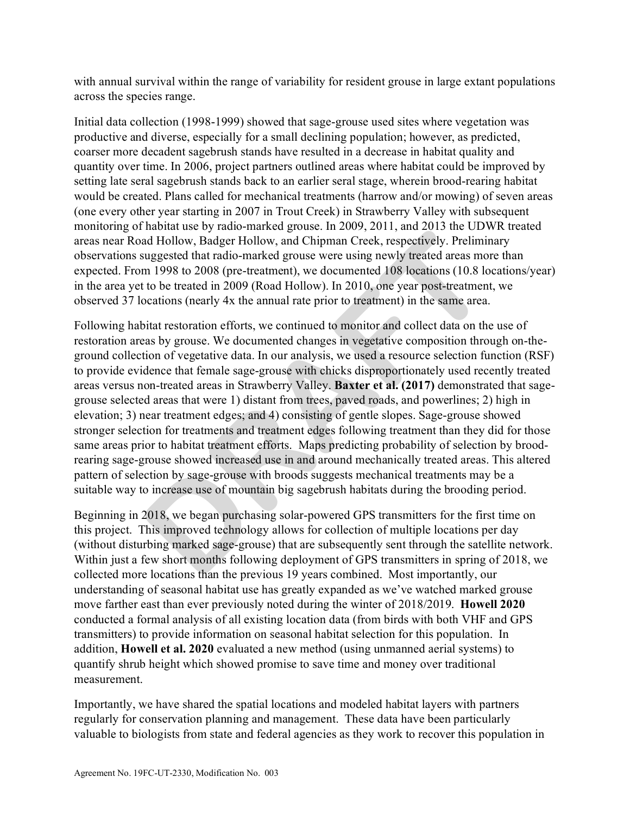with annual survival within the range of variability for resident grouse in large extant populations across the species range.

Initial data collection (1998-1999) showed that sage-grouse used sites where vegetation was productive and diverse, especially for a small declining population; however, as predicted, coarser more decadent sagebrush stands have resulted in a decrease in habitat quality and quantity over time. In 2006, project partners outlined areas where habitat could be improved by setting late seral sagebrush stands back to an earlier seral stage, wherein brood-rearing habitat would be created. Plans called for mechanical treatments (harrow and/or mowing) of seven areas (one every other year starting in 2007 in Trout Creek) in Strawberry Valley with subsequent monitoring of habitat use by radio-marked grouse. In 2009, 2011, and 2013 the UDWR treated areas near Road Hollow, Badger Hollow, and Chipman Creek, respectively. Preliminary observations suggested that radio-marked grouse were using newly treated areas more than expected. From 1998 to 2008 (pre-treatment), we documented 108 locations (10.8 locations/year) in the area yet to be treated in 2009 (Road Hollow). In 2010, one year post-treatment, we observed 37 locations (nearly 4x the annual rate prior to treatment) in the same area.

Following habitat restoration efforts, we continued to monitor and collect data on the use of restoration areas by grouse. We documented changes in vegetative composition through on-theground collection of vegetative data. In our analysis, we used a resource selection function (RSF) to provide evidence that female sage-grouse with chicks disproportionately used recently treated areas versus non-treated areas in Strawberry Valley. **Baxter et al. (2017)** demonstrated that sagegrouse selected areas that were 1) distant from trees, paved roads, and powerlines; 2) high in elevation; 3) near treatment edges; and 4) consisting of gentle slopes. Sage-grouse showed stronger selection for treatments and treatment edges following treatment than they did for those same areas prior to habitat treatment efforts. Maps predicting probability of selection by broodrearing sage-grouse showed increased use in and around mechanically treated areas. This altered pattern of selection by sage-grouse with broods suggests mechanical treatments may be a suitable way to increase use of mountain big sagebrush habitats during the brooding period. mental and Hollow, Badger Hollow, and Chipman Creek, respectively. Preliminaus good and Hollow, Badger Hollow, and Chipman Creek, respectively. Preliminaus generation 1998 to 2008 (pre-treatment), we documented 108 locatio

Beginning in 2018, we began purchasing solar-powered GPS transmitters for the first time on this project. This improved technology allows for collection of multiple locations per day (without disturbing marked sage-grouse) that are subsequently sent through the satellite network. Within just a few short months following deployment of GPS transmitters in spring of 2018, we collected more locations than the previous 19 years combined. Most importantly, our understanding of seasonal habitat use has greatly expanded as we've watched marked grouse move farther east than ever previously noted during the winter of 2018/2019. **Howell 2020** conducted a formal analysis of all existing location data (from birds with both VHF and GPS transmitters) to provide information on seasonal habitat selection for this population. In addition, **Howell et al. 2020** evaluated a new method (using unmanned aerial systems) to quantify shrub height which showed promise to save time and money over traditional measurement.

Importantly, we have shared the spatial locations and modeled habitat layers with partners regularly for conservation planning and management. These data have been particularly valuable to biologists from state and federal agencies as they work to recover this population in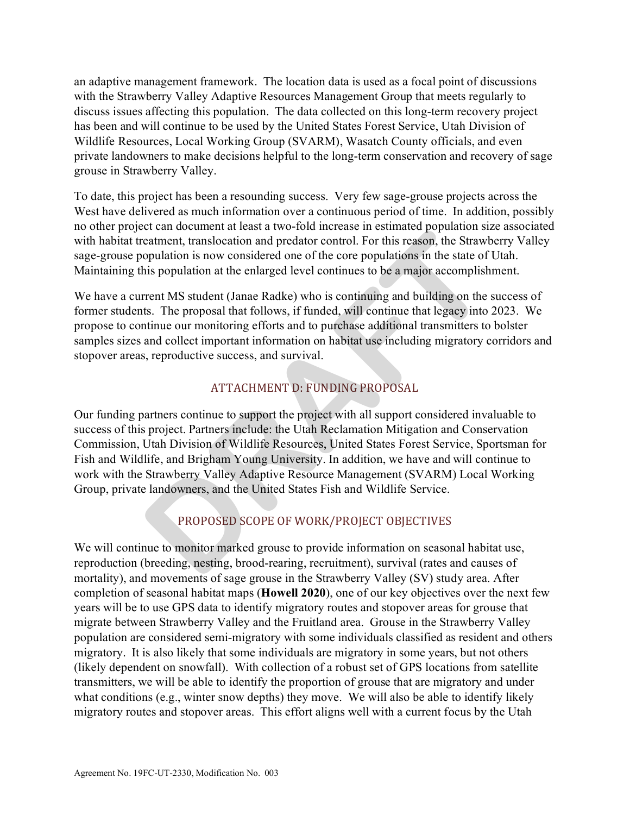an adaptive management framework. The location data is used as a focal point of discussions with the Strawberry Valley Adaptive Resources Management Group that meets regularly to discuss issues affecting this population. The data collected on this long-term recovery project has been and will continue to be used by the United States Forest Service, Utah Division of Wildlife Resources, Local Working Group (SVARM), Wasatch County officials, and even private landowners to make decisions helpful to the long-term conservation and recovery of sage grouse in Strawberry Valley.

To date, this project has been a resounding success. Very few sage-grouse projects across the West have delivered as much information over a continuous period of time. In addition, possibly no other project can document at least a two-fold increase in estimated population size associated with habitat treatment, translocation and predator control. For this reason, the Strawberry Valley sage-grouse population is now considered one of the core populations in the state of Utah. Maintaining this population at the enlarged level continues to be a major accomplishment.

We have a current MS student (Janae Radke) who is continuing and building on the success of former students. The proposal that follows, if funded, will continue that legacy into 2023. We propose to continue our monitoring efforts and to purchase additional transmitters to bolster samples sizes and collect important information on habitat use including migratory corridors and stopover areas, reproductive success, and survival.

# ATTACHMENT D: FUNDING PROPOSAL

Our funding partners continue to support the project with all support considered invaluable to success of this project. Partners include: the Utah Reclamation Mitigation and Conservation Commission, Utah Division of Wildlife Resources, United States Forest Service, Sportsman for Fish and Wildlife, and Brigham Young University. In addition, we have and will continue to work with the Strawberry Valley Adaptive Resource Management (SVARM) Local Working Group, private landowners, and the United States Fish and Wildlife Service. Exteriment was the control of the control of the Strange perfusant of the Strange of the control. For this reason, the Strawb<br>opulation is now considered one of the core populations in the state of<br>his population at the en

# PROPOSED SCOPE OF WORK/PROJECT OBJECTIVES

We will continue to monitor marked grouse to provide information on seasonal habitat use, reproduction (breeding, nesting, brood-rearing, recruitment), survival (rates and causes of mortality), and movements of sage grouse in the Strawberry Valley (SV) study area. After completion of seasonal habitat maps (**Howell 2020**), one of our key objectives over the next few years will be to use GPS data to identify migratory routes and stopover areas for grouse that migrate between Strawberry Valley and the Fruitland area. Grouse in the Strawberry Valley population are considered semi-migratory with some individuals classified as resident and others migratory. It is also likely that some individuals are migratory in some years, but not others (likely dependent on snowfall). With collection of a robust set of GPS locations from satellite transmitters, we will be able to identify the proportion of grouse that are migratory and under what conditions (e.g., winter snow depths) they move. We will also be able to identify likely migratory routes and stopover areas. This effort aligns well with a current focus by the Utah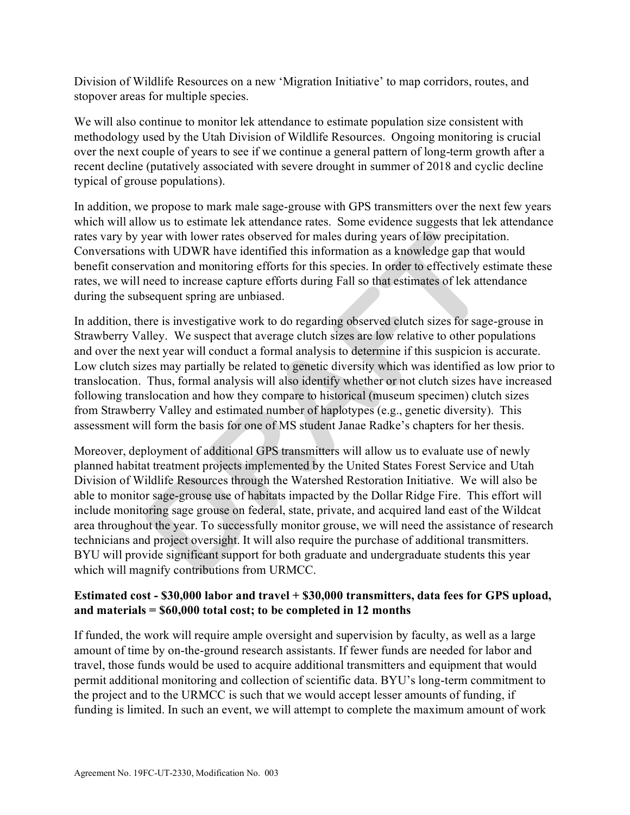Division of Wildlife Resources on a new 'Migration Initiative' to map corridors, routes, and stopover areas for multiple species.

We will also continue to monitor lek attendance to estimate population size consistent with methodology used by the Utah Division of Wildlife Resources. Ongoing monitoring is crucial over the next couple of years to see if we continue a general pattern of long-term growth after a recent decline (putatively associated with severe drought in summer of 2018 and cyclic decline typical of grouse populations).

In addition, we propose to mark male sage-grouse with GPS transmitters over the next few years which will allow us to estimate lek attendance rates. Some evidence suggests that lek attendance rates vary by year with lower rates observed for males during years of low precipitation. Conversations with UDWR have identified this information as a knowledge gap that would benefit conservation and monitoring efforts for this species. In order to effectively estimate these rates, we will need to increase capture efforts during Fall so that estimates of lek attendance during the subsequent spring are unbiased.

In addition, there is investigative work to do regarding observed clutch sizes for sage-grouse in Strawberry Valley. We suspect that average clutch sizes are low relative to other populations and over the next year will conduct a formal analysis to determine if this suspicion is accurate. Low clutch sizes may partially be related to genetic diversity which was identified as low prior to translocation. Thus, formal analysis will also identify whether or not clutch sizes have increased following translocation and how they compare to historical (museum specimen) clutch sizes from Strawberry Valley and estimated number of haplotypes (e.g., genetic diversity). This assessment will form the basis for one of MS student Janae Radke's chapters for her thesis.

Moreover, deployment of additional GPS transmitters will allow us to evaluate use of newly planned habitat treatment projects implemented by the United States Forest Service and Utah Division of Wildlife Resources through the Watershed Restoration Initiative. We will also be able to monitor sage-grouse use of habitats impacted by the Dollar Ridge Fire. This effort will include monitoring sage grouse on federal, state, private, and acquired land east of the Wildcat area throughout the year. To successfully monitor grouse, we will need the assistance of research technicians and project oversight. It will also require the purchase of additional transmitters. BYU will provide significant support for both graduate and undergraduate students this year which will magnify contributions from URMCC. year with lower rates observed for males during years of low precipitats with UDWR have identified this information as a knowledge gap that vation and monitoring efforts for this species. In order to effectively es need to

## **Estimated cost - \$30,000 labor and travel + \$30,000 transmitters, data fees for GPS upload, and materials = \$60,000 total cost; to be completed in 12 months**

If funded, the work will require ample oversight and supervision by faculty, as well as a large amount of time by on-the-ground research assistants. If fewer funds are needed for labor and travel, those funds would be used to acquire additional transmitters and equipment that would permit additional monitoring and collection of scientific data. BYU's long-term commitment to the project and to the URMCC is such that we would accept lesser amounts of funding, if funding is limited. In such an event, we will attempt to complete the maximum amount of work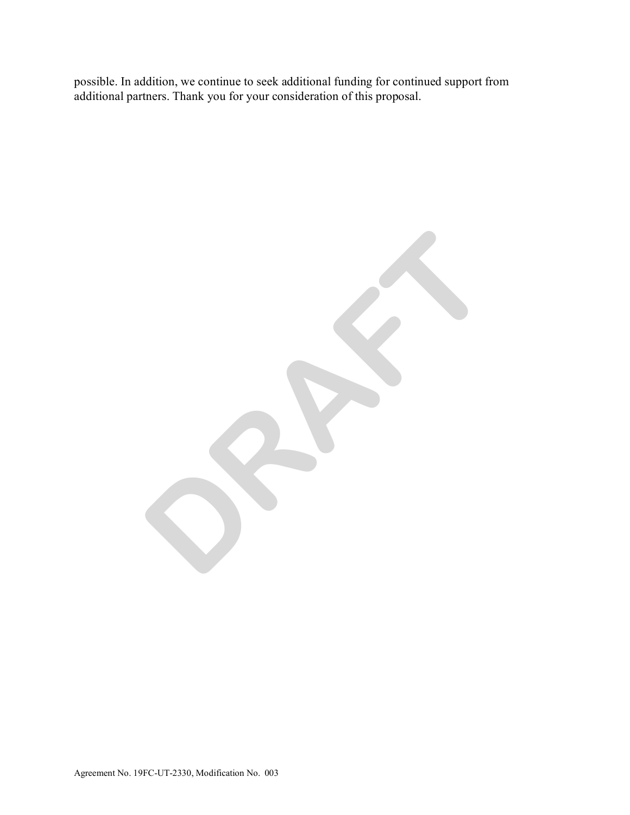possible. In addition, we continue to seek additional funding for continued support from additional partners. Thank you for your consideration of this proposal.

**DRAFT**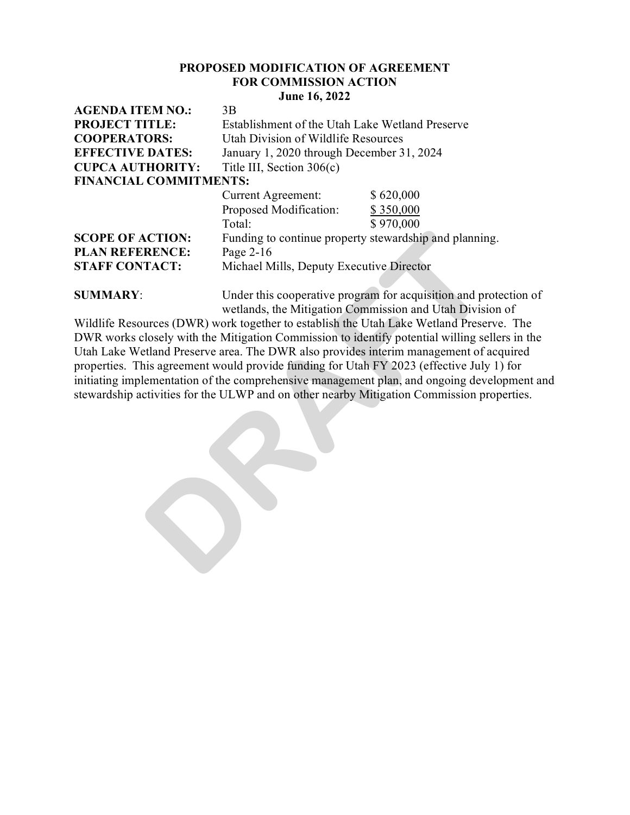#### **PROPOSED MODIFICATION OF AGREEMENT FOR COMMISSION ACTION June 16, 2022**

| <b>AGENDA ITEM NO.:</b>       | 3B                                                     |           |
|-------------------------------|--------------------------------------------------------|-----------|
| <b>PROJECT TITLE:</b>         | Establishment of the Utah Lake Wetland Preserve        |           |
| <b>COOPERATORS:</b>           | Utah Division of Wildlife Resources                    |           |
| <b>EFFECTIVE DATES:</b>       | January 1, 2020 through December 31, 2024              |           |
| <b>CUPCA AUTHORITY:</b>       | Title III, Section $306(c)$                            |           |
| <b>FINANCIAL COMMITMENTS:</b> |                                                        |           |
|                               | <b>Current Agreement:</b>                              | \$620,000 |
|                               | Proposed Modification:                                 | \$350,000 |
|                               | Total:                                                 | \$970,000 |
| <b>SCOPE OF ACTION:</b>       | Funding to continue property stewardship and planning. |           |
| <b>PLAN REFERENCE:</b>        | Page 2-16                                              |           |
| <b>STAFF CONTACT:</b>         | Michael Mills, Deputy Executive Director               |           |
|                               |                                                        |           |

**SUMMARY:** Under this cooperative program for acquisition and protection of wetlands, the Mitigation Commission and Utah Division of

Wildlife Resources (DWR) work together to establish the Utah Lake Wetland Preserve. The DWR works closely with the Mitigation Commission to identify potential willing sellers in the Utah Lake Wetland Preserve area. The DWR also provides interim management of acquired properties. This agreement would provide funding for Utah FY 2023 (effective July 1) for initiating implementation of the comprehensive management plan, and ongoing development and stewardship activities for the ULWP and on other nearby Mitigation Commission properties. **ACTION:** Funding to continue property stewardship and planning<br> **RENCE:** Page 2-16<br>
TACT: Michael Mills, Deputy Executive Director<br>
Under this cooperative program for acquisition and proved<br>
Under this cooperative program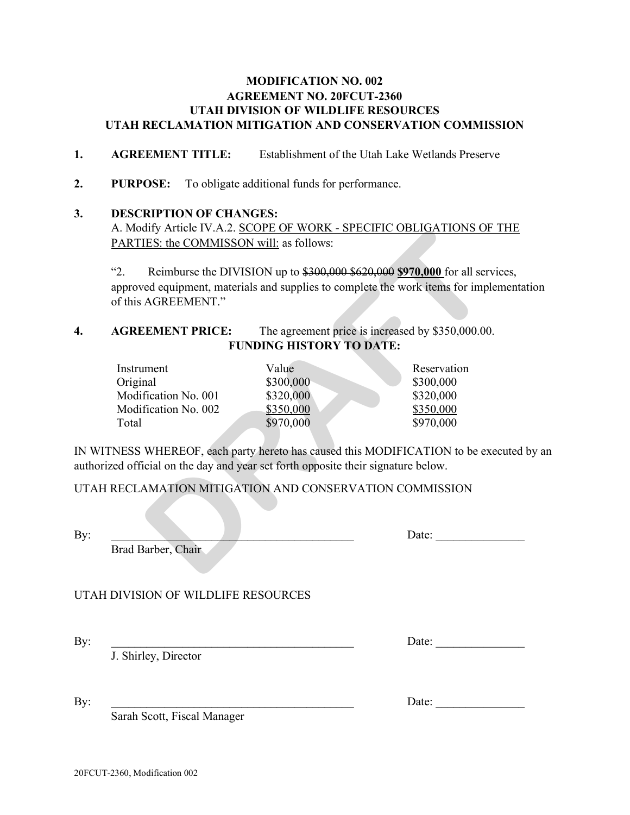## **MODIFICATION NO. 002 AGREEMENT NO. 20FCUT-2360 UTAH DIVISION OF WILDLIFE RESOURCES UTAH RECLAMATION MITIGATION AND CONSERVATION COMMISSION**

- **1. AGREEMENT TITLE:** Establishment of the Utah Lake Wetlands Preserve
- **2. PURPOSE:** To obligate additional funds for performance.

#### **3. DESCRIPTION OF CHANGES:**

A. Modify Article IV.A.2. SCOPE OF WORK - SPECIFIC OBLIGATIONS OF THE PARTIES: the COMMISSON will: as follows:

"2. Reimburse the DIVISION up to \$300,000 \$620,000 **\$970,000** for all services, approved equipment, materials and supplies to complete the work items for implementation of this AGREEMENT."

## **4.** AGREEMENT PRICE: The agreement price is increased by \$350,000.00. **FUNDING HISTORY TO DATE:**

| ARTIES: the COMMISSON will: as follows:                                                                                                                      |                                                           | . MOUTH ATTICLE IV.A.Z. <u>SCOPE OF WORK - SPECIFIC OBLIGATIONS OF</u>                                                                                     |
|--------------------------------------------------------------------------------------------------------------------------------------------------------------|-----------------------------------------------------------|------------------------------------------------------------------------------------------------------------------------------------------------------------|
| 2.<br>f this AGREEMENT."                                                                                                                                     |                                                           | Reimburse the DIVISION up to \$300,000 \$620,000 \$970,000 for all serves<br>pproved equipment, materials and supplies to complete the work items for impl |
| <b>AGREEMENT PRICE:</b>                                                                                                                                      |                                                           | The agreement price is increased by \$350,000.00                                                                                                           |
|                                                                                                                                                              | <b>FUNDING HISTORY TO DATE:</b>                           |                                                                                                                                                            |
| Instrument<br>Original<br>Modification No. 001<br>Modification No. 002<br>Total<br>ed official on the day and year set forth opposite their signature below. | Value<br>\$300,000<br>\$320,000<br>\$350,000<br>\$970,000 | Reservation<br>\$300,000<br>\$320,000<br>\$350,000<br>\$970,000<br>NESS WHEREOF, each party hereto has caused this MODIFICATION to be ex                   |
| ECLAMATION MITIGATION AND CONSERVATION COMMISSION                                                                                                            |                                                           |                                                                                                                                                            |
| Brad Barber, Chair                                                                                                                                           |                                                           | Date:                                                                                                                                                      |

IN WITNESS WHEREOF, each party hereto has caused this MODIFICATION to be executed by an authorized official on the day and year set forth opposite their signature below.

### UTAH RECLAMATION MITIGATION AND CONSERVATION COMMISSION

By: \_\_\_\_\_\_\_\_\_\_\_\_\_\_\_\_\_\_\_\_\_\_\_\_\_\_\_\_\_\_\_\_\_\_\_\_\_\_\_\_\_ Date: \_\_\_\_\_\_\_\_\_\_\_\_\_\_\_

Brad Barber, Chair

## UTAH DIVISION OF WILDLIFE RESOURCES

J. Shirley, Director

By: \_\_\_\_\_\_\_\_\_\_\_\_\_\_\_\_\_\_\_\_\_\_\_\_\_\_\_\_\_\_\_\_\_\_\_\_\_\_\_\_\_ Date: \_\_\_\_\_\_\_\_\_\_\_\_\_\_\_

By: \_\_\_\_\_\_\_\_\_\_\_\_\_\_\_\_\_\_\_\_\_\_\_\_\_\_\_\_\_\_\_\_\_\_\_\_\_\_\_\_\_ Date: \_\_\_\_\_\_\_\_\_\_\_\_\_\_\_

Sarah Scott, Fiscal Manager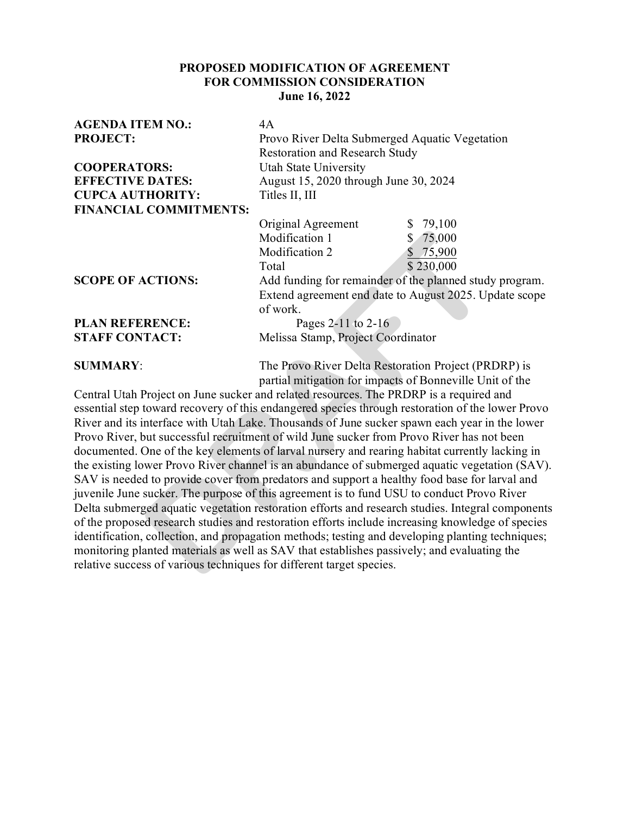## **PROPOSED MODIFICATION OF AGREEMENT FOR COMMISSION CONSIDERATION June 16, 2022**

| <b>AGENDA ITEM NO.:</b>       | 4A                                                      |
|-------------------------------|---------------------------------------------------------|
| <b>PROJECT:</b>               | Provo River Delta Submerged Aquatic Vegetation          |
|                               | <b>Restoration and Research Study</b>                   |
| <b>COOPERATORS:</b>           | Utah State University                                   |
| <b>EFFECTIVE DATES:</b>       | August 15, 2020 through June 30, 2024                   |
| <b>CUPCA AUTHORITY:</b>       | Titles II, III                                          |
| <b>FINANCIAL COMMITMENTS:</b> |                                                         |
|                               | \$79,100<br>Original Agreement                          |
|                               | Modification 1<br>\$75,000                              |
|                               | Modification 2<br>\$75,900                              |
|                               | \$230,000<br>Total                                      |
| <b>SCOPE OF ACTIONS:</b>      | Add funding for remainder of the planned study program. |
|                               | Extend agreement end date to August 2025. Update scope  |
|                               | of work.                                                |
| <b>PLAN REFERENCE:</b>        | Pages 2-11 to 2-16                                      |
| <b>STAFF CONTACT:</b>         | Melissa Stamp, Project Coordinator                      |
| <b>SUMMARY:</b>               | The Provo River Delta Restoration Project (PRDRP) is    |

partial mitigation for impacts of Bonneville Unit of the Central Utah Project on June sucker and related resources. The PRDRP is a required and essential step toward recovery of this endangered species through restoration of the lower Provo River and its interface with Utah Lake. Thousands of June sucker spawn each year in the lower Provo River, but successful recruitment of wild June sucker from Provo River has not been documented. One of the key elements of larval nursery and rearing habitat currently lacking in the existing lower Provo River channel is an abundance of submerged aquatic vegetation (SAV). SAV is needed to provide cover from predators and support a healthy food base for larval and juvenile June sucker. The purpose of this agreement is to fund USU to conduct Provo River Delta submerged aquatic vegetation restoration efforts and research studies. Integral components of the proposed research studies and restoration efforts include increasing knowledge of species identification, collection, and propagation methods; testing and developing planting techniques; monitoring planted materials as well as SAV that establishes passively; and evaluating the relative success of various techniques for different target species . Modification 1 \$ 75,000<br>
Modification 2 \$ 75,000<br>
Total<br>
Total<br>
Total<br>
Total<br>
Total<br>
Add funding for remainder of the planned study<br>
Extend agreement end date to August 2025. Up<br>
of work.<br>
Pages 2-11 to 2-16<br>
TACT:<br>
Meliss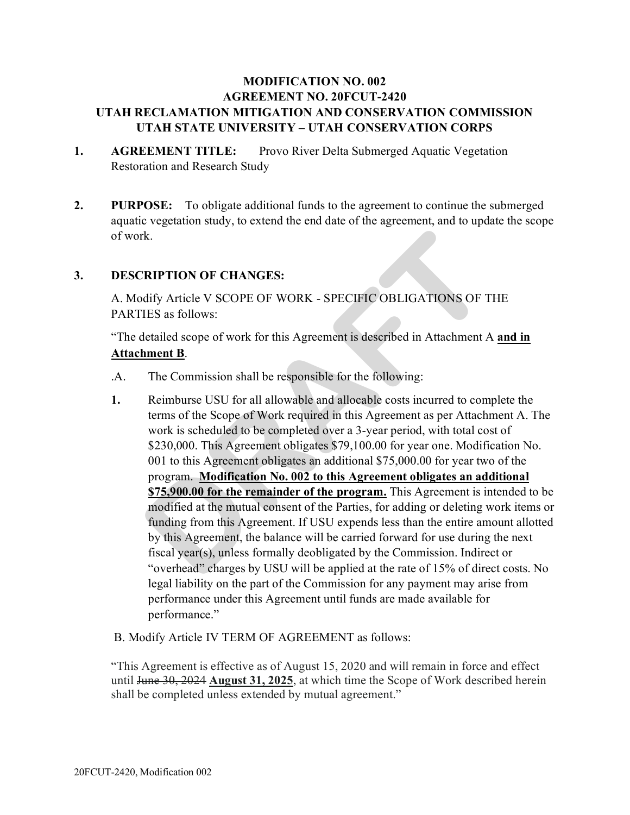# **MODIFICATION NO. 002 AGREEMENT NO. 20FCUT-2420 UTAH RECLAMATION MITIGATION AND CONSERVATION COMMISSION UTAH STATE UNIVERSITY – UTAH CONSERVATION CORPS**

- 1. AGREEMENT TITLE: Provo River Delta Submerged Aquatic Vegetation Restoration and Research Study
- **2. PURPOSE:** To obligate additional funds to the agreement to continue the submerged aquatic vegetation study, to extend the end date of the agreement, and to update the scope of work.

## **3. DESCRIPTION OF CHANGES:**

A. Modify Article V SCOPE OF WORK - SPECIFIC OBLIGATIONS OF THE PARTIES as follows:

"The detailed scope of work for this Agreement is described in Attachment A **and in Attachment B**.

- .A. The Commission shall be responsible for the following:
- **1.** Reimburse USU for all allowable and allocable costs incurred to complete the terms of the Scope of Work required in this Agreement as per Attachment A. The work is scheduled to be completed over a 3-year period, with total cost of \$230,000. This Agreement obligates \$79,100.00 for year one. Modification No. 001 to this Agreement obligates an additional \$75,000.00 for year two of the program. **Modification No. 002 to this Agreement obligates an additional \$75,900.00 for the remainder of the program.** This Agreement is intended to be modified at the mutual consent of the Parties, for adding or deleting work items or funding from this Agreement. If USU expends less than the entire amount allotted by this Agreement, the balance will be carried forward for use during the next fiscal year(s), unless formally deobligated by the Commission. Indirect or "overhead" charges by USU will be applied at the rate of 15% of direct costs. No legal liability on the part of the Commission for any payment may arise from performance under this Agreement until funds are made available for performance." rk.<br> **RIPTION OF CHANGES:**<br>
dify Article V SCOPE OF WORK - SPECIFIC OBLIGATIONS OF T<br>
IES as follows:<br>
detailed scope of work for this Agreement is described in Attachment A<br> **hment B**.<br>
The Commission shall be responsible
- B. Modify Article IV TERM OF AGREEMENT as follows:

"This Agreement is effective as of August 15, 2020 and will remain in force and effect until June 30, 2024 **August 31, 2025**, at which time the Scope of Work described herein shall be completed unless extended by mutual agreement."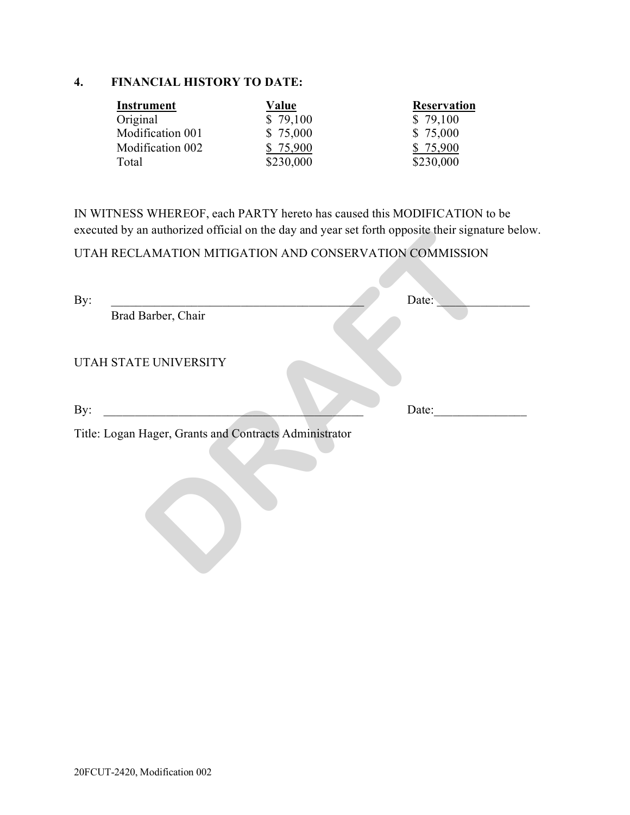# **4. FINANCIAL HISTORY TO DATE:**

| Instrument       | Value     | <b>Reservation</b> |
|------------------|-----------|--------------------|
| Original         | \$79,100  | \$79,100           |
| Modification 001 | \$75,000  | \$75,000           |
| Modification 002 | \$75,900  | \$75,900           |
| Total            | \$230,000 | \$230,000          |

IN WITNESS WHEREOF, each PARTY hereto has caused this MODIFICATION to be executed by an authorized official on the day and year set forth opposite their signature below.

| By:                   |                                                        | Date: |
|-----------------------|--------------------------------------------------------|-------|
| Brad Barber, Chair    |                                                        |       |
| UTAH STATE UNIVERSITY |                                                        |       |
| By:                   |                                                        | Date: |
|                       | Title: Logan Hager, Grants and Contracts Administrator |       |
|                       |                                                        |       |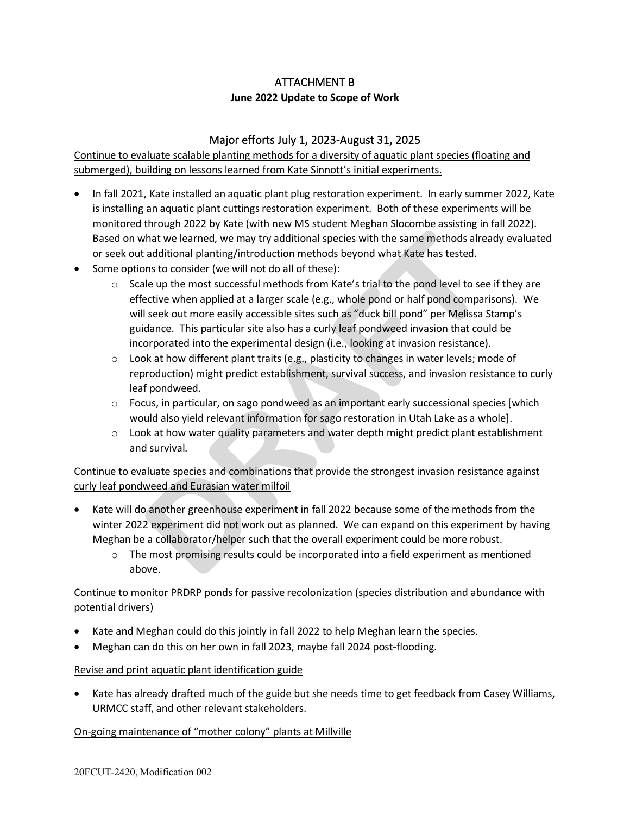# ATTACHMENT B

## **June 2022 Update to Scope of Work**

## Major efforts July 1, 2023-August 31, 2025

Continue to evaluate scalable planting methods for a diversity of aquatic plant species (floating and submerged), building on lessons learned from Kate Sinnott's initial experiments.

- In fall 2021, Kate installed an aquatic plant plug restoration experiment. In early summer 2022, Kate is installing an aquatic plant cuttings restoration experiment. Both of these experiments will be monitored through 2022 by Kate (with new MS student Meghan Slocombe assisting in fall 2022). Based on what we learned, we may try additional species with the same methods already evaluated or seek out additional planting/introduction methods beyond what Kate has tested.
- Some options to consider (we will not do all of these):
- $\circ$  Scale up the most successful methods from Kate's trial to the pond level to see if they are effective when applied at a larger scale (e.g., whole pond or half pond comparisons). We will seek out more easily accessible sites such as "duck bill pond" per Melissa Stamp's guidance. This particular site also has a curly leaf pondweed invasion that could be incorporated into the experimental design (i.e., looking at invasion resistance). what we learned, we may try additional species with the same methods alreal additional planting/introduction methods beyond what Kate has tested.<br>
Dons to consider (we will not do all of these):<br>
Dele up the most successfu
	- $\circ$  Look at how different plant traits (e.g., plasticity to changes in water levels; mode of reproduction) might predict establishment, survival success, and invasion resistance to curly leaf pondweed.
	- o Focus, in particular, on sago pondweed as an important early successional species [which would also yield relevant information for sago restoration in Utah Lake as a whole].
	- $\circ$  Look at how water quality parameters and water depth might predict plant establishment and survival.

Continue to evaluate species and combinations that provide the strongest invasion resistance against curly leaf pondweed and Eurasian water milfoil

- Kate will do another greenhouse experiment in fall 2022 because some of the methods from the winter 2022 experiment did not work out as planned. We can expand on this experiment by having Meghan be a collaborator/helper such that the overall experiment could be more robust.
	- $\circ$  The most promising results could be incorporated into a field experiment as mentioned above.

# Continue to monitor PRDRP ponds for passive recolonization (species distribution and abundance with potential drivers)

- Kate and Meghan could do this jointly in fall 2022 to help Meghan learn the species.
- Meghan can do this on her own in fall 2023, maybe fall 2024 post-flooding.

### Revise and print aquatic plant identification guide

• Kate has already drafted much of the guide but she needs time to get feedback from Casey Williams, URMCC staff, and other relevant stakeholders.

### On-going maintenance of "mother colony" plants at Millville